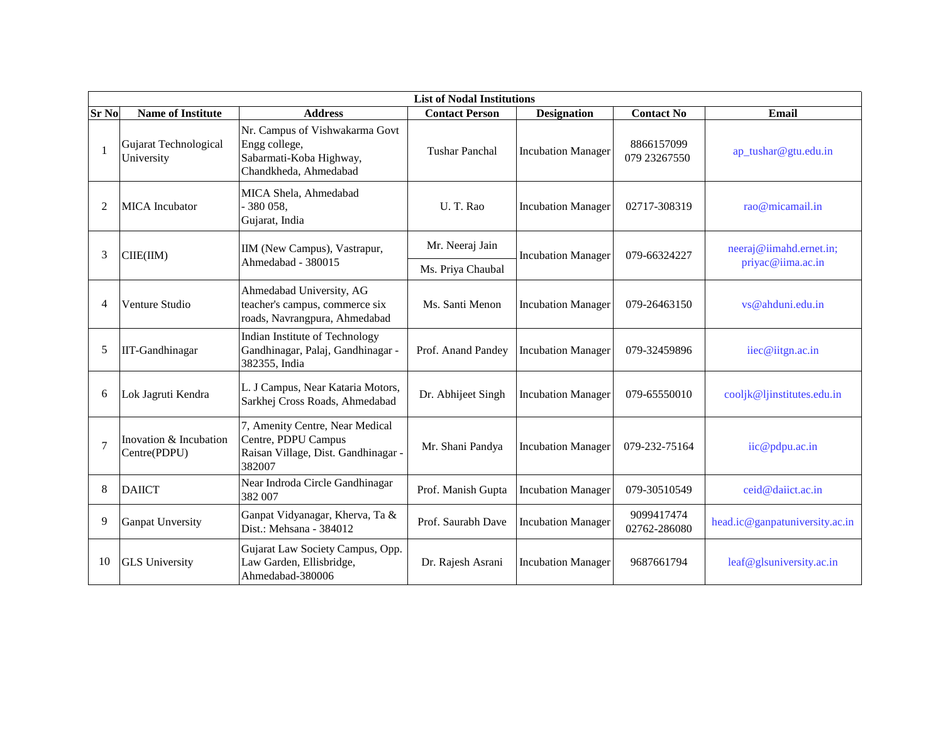|                | <b>List of Nodal Institutions</b>      |                                                                                                         |                       |                           |                            |                                              |  |  |
|----------------|----------------------------------------|---------------------------------------------------------------------------------------------------------|-----------------------|---------------------------|----------------------------|----------------------------------------------|--|--|
| <b>Sr No</b>   | <b>Name of Institute</b>               | <b>Address</b>                                                                                          | <b>Contact Person</b> | <b>Designation</b>        | <b>Contact No</b>          | Email                                        |  |  |
| $\overline{1}$ | Gujarat Technological<br>University    | Nr. Campus of Vishwakarma Govt<br>Engg college,<br>Sabarmati-Koba Highway,<br>Chandkheda, Ahmedabad     | <b>Tushar Panchal</b> | <b>Incubation Manager</b> | 8866157099<br>079 23267550 | ap_tushar@gtu.edu.in                         |  |  |
| 2              | <b>MICA</b> Incubator                  | MICA Shela, Ahmedabad<br>- 380 058,<br>Gujarat, India                                                   | U.T.Rao               | <b>Incubation Manager</b> | 02717-308319               | rao@micamail.in                              |  |  |
| 3              | CIE(IIM)                               | IIM (New Campus), Vastrapur,<br>Ahmedabad - 380015                                                      | Mr. Neeraj Jain       | <b>Incubation Manager</b> | 079-66324227               | neeraj@iimahd.ernet.in;<br>priyac@iima.ac.in |  |  |
|                |                                        |                                                                                                         | Ms. Priya Chaubal     |                           |                            |                                              |  |  |
| 4              | Venture Studio                         | Ahmedabad University, AG<br>teacher's campus, commerce six<br>roads, Navrangpura, Ahmedabad             | Ms. Santi Menon       | <b>Incubation Manager</b> | 079-26463150               | vs@ahduni.edu.in                             |  |  |
| 5              | <b>IIT-Gandhinagar</b>                 | <b>Indian Institute of Technology</b><br>Gandhinagar, Palaj, Gandhinagar -<br>382355, India             | Prof. Anand Pandey    | <b>Incubation Manager</b> | 079-32459896               | iiec@iitgn.ac.in                             |  |  |
| 6              | Lok Jagruti Kendra                     | L. J Campus, Near Kataria Motors,<br>Sarkhej Cross Roads, Ahmedabad                                     | Dr. Abhijeet Singh    | <b>Incubation Manager</b> | 079-65550010               | cooljk@ljinstitutes.edu.in                   |  |  |
| 7              | Inovation & Incubation<br>Centre(PDPU) | 7, Amenity Centre, Near Medical<br>Centre, PDPU Campus<br>Raisan Village, Dist. Gandhinagar -<br>382007 | Mr. Shani Pandya      | <b>Incubation Manager</b> | 079-232-75164              | iic@pdpu.ac.in                               |  |  |
| 8              | <b>DAIICT</b>                          | Near Indroda Circle Gandhinagar<br>382 007                                                              | Prof. Manish Gupta    | <b>Incubation Manager</b> | 079-30510549               | ceid@daiict.ac.in                            |  |  |
| 9              | <b>Ganpat Unversity</b>                | Ganpat Vidyanagar, Kherva, Ta &<br>Dist.: Mehsana - 384012                                              | Prof. Saurabh Dave    | <b>Incubation Manager</b> | 9099417474<br>02762-286080 | head.ic@ganpatuniversity.ac.in               |  |  |
| 10             | <b>GLS</b> University                  | Gujarat Law Society Campus, Opp.<br>Law Garden, Ellisbridge,<br>Ahmedabad-380006                        | Dr. Rajesh Asrani     | <b>Incubation Manager</b> | 9687661794                 | leaf@glsuniversity.ac.in                     |  |  |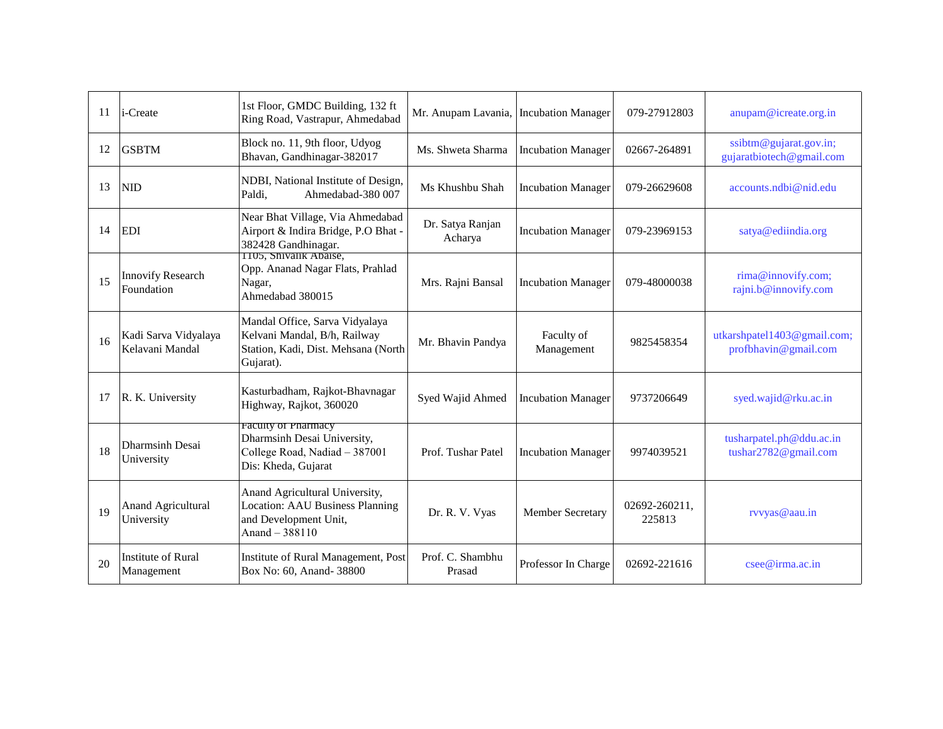| 11 | i-Create                                | 1st Floor, GMDC Building, 132 ft<br>Ring Road, Vastrapur, Ahmedabad                                                  | Mr. Anupam Lavania, Incubation Manager |                           | 079-27912803            | anupam@icreate.org.in                               |
|----|-----------------------------------------|----------------------------------------------------------------------------------------------------------------------|----------------------------------------|---------------------------|-------------------------|-----------------------------------------------------|
| 12 | <b>GSBTM</b>                            | Block no. 11, 9th floor, Udyog<br>Bhavan, Gandhinagar-382017                                                         | Ms. Shweta Sharma                      | <b>Incubation Manager</b> | 02667-264891            | ssibtm@gujarat.gov.in;<br>gujaratbiotech@gmail.com  |
| 13 | <b>NID</b>                              | NDBI, National Institute of Design,<br>Ahmedabad-380 007<br>Paldi,                                                   | Ms Khushbu Shah                        | <b>Incubation Manager</b> | 079-26629608            | accounts.ndbi@nid.edu                               |
| 14 | <b>EDI</b>                              | Near Bhat Village, Via Ahmedabad<br>Airport & Indira Bridge, P.O Bhat -<br>382428 Gandhinagar.                       | Dr. Satya Ranjan<br>Acharya            | <b>Incubation Manager</b> | 079-23969153            | satya@ediindia.org                                  |
| 15 | <b>Innovify Research</b><br>Foundation  | 1105, Shivalik Abaise,<br>Opp. Ananad Nagar Flats, Prahlad<br>Nagar,<br>Ahmedabad 380015                             | Mrs. Rajni Bansal                      | <b>Incubation Manager</b> | 079-48000038            | rima@innovify.com;<br>rajni.b@innovify.com          |
| 16 | Kadi Sarva Vidyalaya<br>Kelavani Mandal | Mandal Office, Sarva Vidyalaya<br>Kelvani Mandal, B/h, Railway<br>Station, Kadi, Dist. Mehsana (North<br>Gujarat).   | Mr. Bhavin Pandya                      | Faculty of<br>Management  | 9825458354              | utkarshpatel1403@gmail.com;<br>profbhavin@gmail.com |
| 17 | R. K. University                        | Kasturbadham, Rajkot-Bhavnagar<br>Highway, Rajkot, 360020                                                            | Syed Wajid Ahmed                       | <b>Incubation Manager</b> | 9737206649              | syed.wajid@rku.ac.in                                |
| 18 | Dharmsinh Desai<br>University           | <b>Faculty of Pharmacy</b><br>Dharmsinh Desai University,<br>College Road, Nadiad - 387001<br>Dis: Kheda, Gujarat    | Prof. Tushar Patel                     | <b>Incubation Manager</b> | 9974039521              | tusharpatel.ph@ddu.ac.in<br>tushar2782@gmail.com    |
| 19 | <b>Anand Agricultural</b><br>University | Anand Agricultural University,<br><b>Location: AAU Business Planning</b><br>and Development Unit,<br>Anand $-388110$ | Dr. R. V. Vyas                         | Member Secretary          | 02692-260211,<br>225813 | rvvyas@aau.in                                       |
| 20 | <b>Institute of Rural</b><br>Management | Institute of Rural Management, Post<br>Box No: 60, Anand- 38800                                                      | Prof. C. Shambhu<br>Prasad             | Professor In Charge       | 02692-221616            | $c$ see @irma.ac.in                                 |